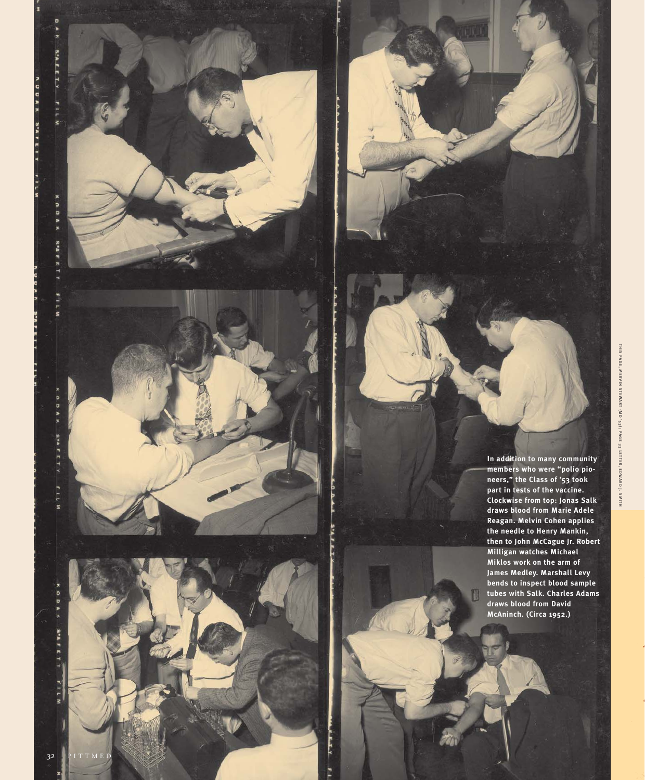**In addition to many community members who were "polio pioneers," the Class of '53 took part in tests of the vaccine. Clockwise from top: Jonas Salk draws blood from Marie Adele Reagan. Melvin Cohen applies the needle to Henry Mankin, then to John McCague Jr. Robert Milligan watches Michael Miklos work on the arm of James Medley. Marshall Levy bends to inspect blood sample tubes with Salk. Charles Adams draws blood from David McAninch. (Circa 1952.)**

S'A F E T Y

 $111$ 

ć

o ,  $\overline{\phantom{a}}$ 

> **SPA** ī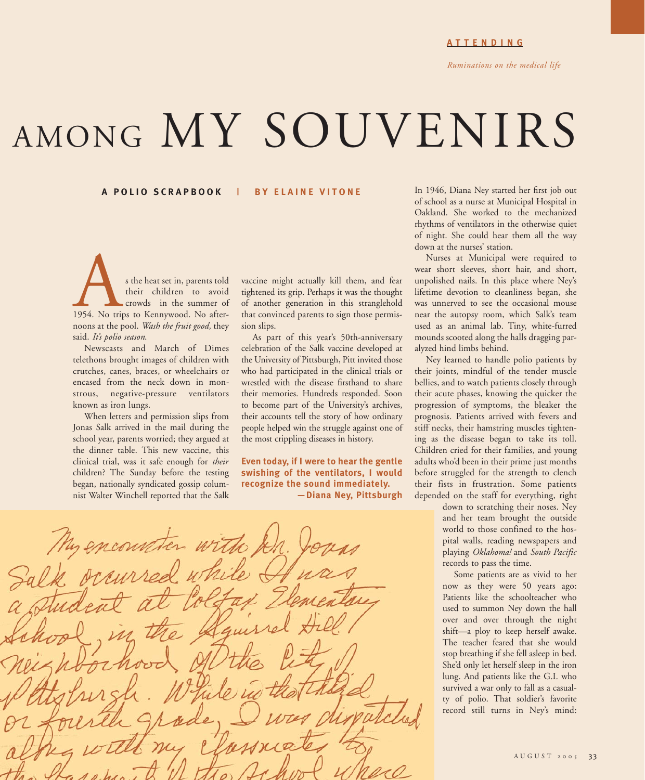# AMONG MY SOUVENIRS

#### **A POLIO SCRAPBOOK| BY ELAINE VITONE**

s the heat set in, parents told<br>their children to avoid<br>their children to avoid<br>1954. No trips to Kennywood. No after-<br>peops at the pool *Wash the fruit good* they their children to avoid crowds in the summer of noons at the pool. *Wash the fruit good,* they said. *It's polio season*.

Newscasts and March of Dimes telethons brought images of children with crutches, canes, braces, or wheelchairs or encased from the neck down in monstrous, negative-pressure ventilators known as iron lungs.

When letters and permission slips from Jonas Salk arrived in the mail during the school year, parents worried; they argued at the dinner table. This new vaccine, this clinical trial, was it safe enough for *their* children? The Sunday before the testing began, nationally syndicated gossip columnist Walter Winchell reported that the Salk

vaccine might actually kill them, and fear tightened its grip. Perhaps it was the thought of another generation in this stranglehold that convinced parents to sign those permission slips.

As part of this year's 50th-anniversary celebration of the Salk vaccine developed at the University of Pittsburgh, Pitt invited those who had participated in the clinical trials or wrestled with the disease firsthand to share their memories. Hundreds responded. Soon to become part of the University's archives, their accounts tell the story of how ordinary people helped win the struggle against one of the most crippling diseases in history.

**Even today, if I were to hear the gentle swishing of the ventilators, I would recognize the sound immediately. —Diana Ney, Pittsburgh** In 1946, Diana Ney started her first job out of school as a nurse at Municipal Hospital in Oakland. She worked to the mechanized rhythms of ventilators in the otherwise quiet of night. She could hear them all the way down at the nurses' station.

Nurses at Municipal were required to wear short sleeves, short hair, and short, unpolished nails. In this place where Ney's lifetime devotion to cleanliness began, she was unnerved to see the occasional mouse near the autopsy room, which Salk's team used as an animal lab. Tiny, white-furred mounds scooted along the halls dragging paralyzed hind limbs behind.

Ney learned to handle polio patients by their joints, mindful of the tender muscle bellies, and to watch patients closely through their acute phases, knowing the quicker the progression of symptoms, the bleaker the prognosis. Patients arrived with fevers and stiff necks, their hamstring muscles tightening as the disease began to take its toll. Children cried for their families, and young adults who'd been in their prime just months before struggled for the strength to clench their fists in frustration. Some patients depended on the staff for everything, right

> down to scratching their noses. Ney and her team brought the outside world to those confined to the hospital walls, reading newspapers and playing *Oklahoma!* and *South Pacific* records to pass the time.

> Some patients are as vivid to her now as they were 50 years ago: Patients like the schoolteacher who used to summon Ney down the hall over and over through the night shift—a ploy to keep herself awake. The teacher feared that she would stop breathing if she fell asleep in bed. She'd only let herself sleep in the iron lung. And patients like the G.I. who survived a war only to fall as a casualty of polio. That soldier's favorite record still turns in Ney's mind:

My encounter with Aussad why